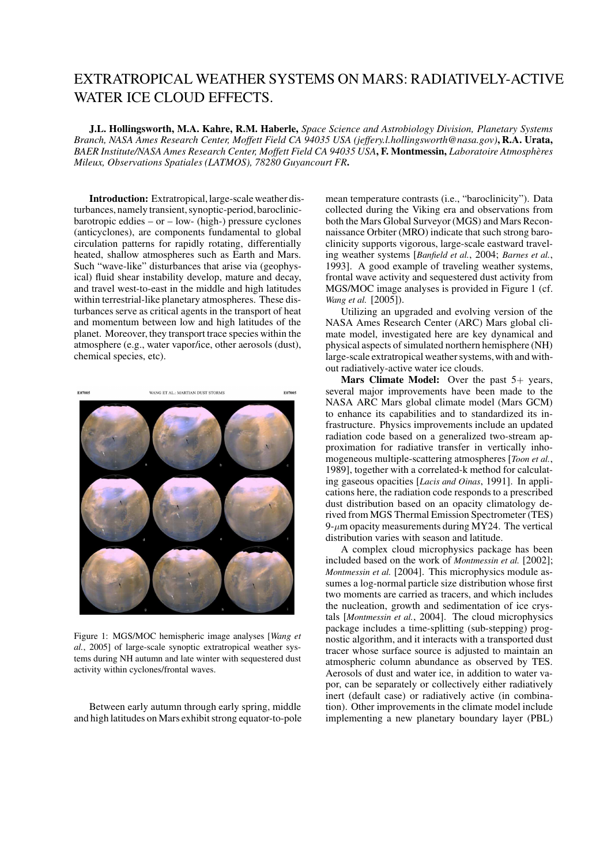## EXTRATROPICAL WEATHER SYSTEMS ON MARS: RADIATIVELY-ACTIVE WATER ICE CLOUD EFFECTS.

J.L. Hollingsworth, M.A. Kahre, R.M. Haberle, *Space Science and Astrobiology Division, Planetary Systems Branch, NASA Ames Research Center, Moffett Field CA 94035 USA (jeffery.l.hollingsworth@nasa.gov)*, R.A. Urata, *BAER Institute/NASA Ames Research Center, Moffett Field CA 94035 USA*, F. Montmessin, *Laboratoire Atmospheres ` Mileux, Observations Spatiales (LATMOS), 78280 Guyancourt FR*.

Introduction: Extratropical, large-scale weather disturbances, namely transient, synoptic-period, baroclinicbarotropic eddies – or – low- (high-) pressure cyclones (anticyclones), are components fundamental to global circulation patterns for rapidly rotating, differentially heated, shallow atmospheres such as Earth and Mars. Such "wave-like" disturbances that arise via (geophysical) fluid shear instability develop, mature and decay, and travel west-to-east in the middle and high latitudes within terrestrial-like planetary atmospheres. These disturbances serve as critical agents in the transport of heat and momentum between low and high latitudes of the planet. Moreover, they transport trace species within the atmosphere (e.g., water vapor/ice, other aerosols (dust), chemical species, etc).



Figure 1: MGS/MOC hemispheric image analyses [*Wang et al.*, 2005] of large-scale synoptic extratropical weather systems during NH autumn and late winter with sequestered dust activity within cyclones/frontal waves.

Between early autumn through early spring, middle and high latitudes on Mars exhibit strong equator-to-pole mean temperature contrasts (i.e., "baroclinicity"). Data collected during the Viking era and observations from both the Mars Global Surveyor (MGS) and Mars Reconnaissance Orbiter (MRO) indicate that such strong baroclinicity supports vigorous, large-scale eastward traveling weather systems [*Banfield et al.*, 2004; *Barnes et al.*, 1993]. A good example of traveling weather systems, frontal wave activity and sequestered dust activity from MGS/MOC image analyses is provided in Figure 1 (cf. *Wang et al.* [2005]).

Utilizing an upgraded and evolving version of the NASA Ames Research Center (ARC) Mars global climate model, investigated here are key dynamical and physical aspects of simulated northern hemisphere (NH) large-scale extratropical weather systems,with and without radiatively-active water ice clouds.

**Mars Climate Model:** Over the past  $5+$  years, several major improvements have been made to the NASA ARC Mars global climate model (Mars GCM) to enhance its capabilities and to standardized its infrastructure. Physics improvements include an updated radiation code based on a generalized two-stream approximation for radiative transfer in vertically inhomogeneous multiple-scattering atmospheres [*Toon et al.*, 1989], together with a correlated-k method for calculating gaseous opacities [*Lacis and Oinas*, 1991]. In applications here, the radiation code responds to a prescribed dust distribution based on an opacity climatology derived from MGS Thermal Emission Spectrometer (TES) 9- $\mu$ m opacity measurements during MY24. The vertical distribution varies with season and latitude.

A complex cloud microphysics package has been included based on the work of *Montmessin et al.* [2002]; *Montmessin et al.* [2004]. This microphysics module assumes a log-normal particle size distribution whose first two moments are carried as tracers, and which includes the nucleation, growth and sedimentation of ice crystals [*Montmessin et al.*, 2004]. The cloud microphysics package includes a time-splitting (sub-stepping) prognostic algorithm, and it interacts with a transported dust tracer whose surface source is adjusted to maintain an atmospheric column abundance as observed by TES. Aerosols of dust and water ice, in addition to water vapor, can be separately or collectively either radiatively inert (default case) or radiatively active (in combination). Other improvements in the climate model include implementing a new planetary boundary layer (PBL)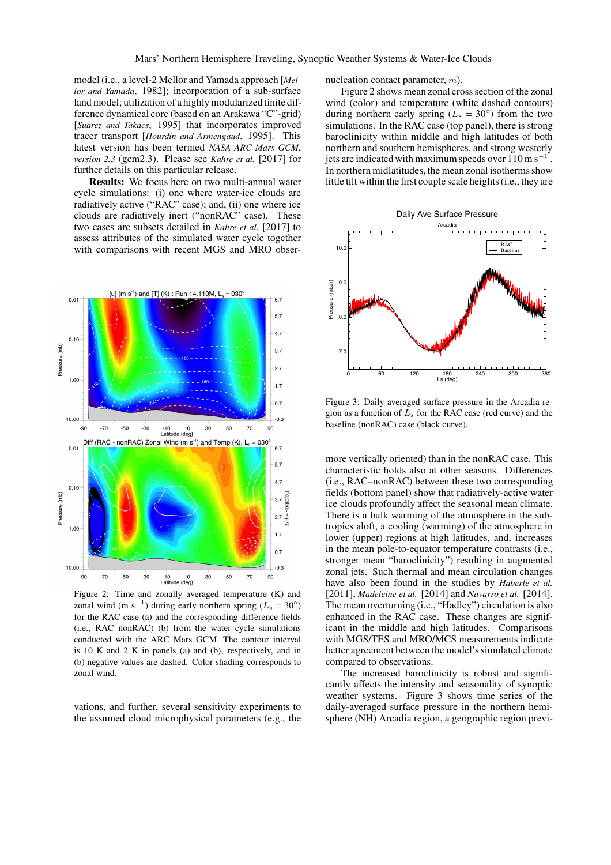model (i.e., a level-2 Mellor and Yamada approach [*Mellor and Yamada*, 1982]; incorporation of a sub-surface land model; utilization of a highly modularized finite difference dynamical core (based on an Arakawa "C"-grid) [*Suarez and Takacs*, 1995] that incorporates improved tracer transport [*Hourdin and Armengaud*, 1995]. This latest version has been termed *NASA ARC Mars GCM, version 2.3* (gcm2.3). Please see *Kahre et al.* [2017] for further details on this particular release.

Results: We focus here on two multi-annual water cycle simulations: (i) one where water-ice clouds are radiatively active ("RAC" case); and, (ii) one where ice clouds are radiatively inert ("nonRAC" case). These two cases are subsets detailed in *Kahre et al.* [2017] to assess attributes of the simulated water cycle together with comparisons with recent MGS and MRO obser-



Figure 2: Time and zonally averaged temperature (K) and zonal wind (m s<sup>-1</sup>) during early northern spring ( $L_s = 30°$ ) for the RAC case (a) and the corresponding difference fields (i.e., RAC–nonRAC) (b) from the water cycle simulations conducted with the ARC Mars GCM. The contour interval is 10 K and 2 K in panels (a) and (b), respectively, and in (b) negative values are dashed. Color shading corresponds to zonal wind.

vations, and further, several sensitivity experiments to the assumed cloud microphysical parameters (e.g., the nucleation contact parameter, m).

Figure 2 shows mean zonal cross section of the zonal wind (color) and temperature (white dashed contours) during northern early spring ( $L_s = 30°$ ) from the two simulations. In the RAC case (top panel), there is strong baroclinicity within middle and high latitudes of both northern and southern hemispheres, and strong westerly jets are indicated with maximum speeds over  $110 \text{ m s}^{-1}$ . In northern midlatitudes, the mean zonal isotherms show little tilt within the first couple scale heights (i.e., they are





Figure 3: Daily averaged surface pressure in the Arcadia region as a function of  $L<sub>s</sub>$  for the RAC case (red curve) and the baseline (nonRAC) case (black curve).

more vertically oriented) than in the nonRAC case. This characteristic holds also at other seasons. Differences (i.e., RAC–nonRAC) between these two corresponding fields (bottom panel) show that radiatively-active water ice clouds profoundly affect the seasonal mean climate. There is a bulk warming of the atmosphere in the subtropics aloft, a cooling (warming) of the atmosphere in lower (upper) regions at high latitudes, and, increases in the mean pole-to-equator temperature contrasts (i.e., stronger mean "baroclinicity") resulting in augmented zonal jets. Such thermal and mean circulation changes have also been found in the studies by *Haberle et al.* [2011], *Madeleine et al.* [2014] and *Navarro et al.* [2014]. The mean overturning (i.e., "Hadley") circulation is also enhanced in the RAC case. These changes are significant in the middle and high latitudes. Comparisons with MGS/TES and MRO/MCS measurements indicate better agreement between the model's simulated climate compared to observations.

The increased baroclinicity is robust and significantly affects the intensity and seasonality of synoptic weather systems. Figure 3 shows time series of the daily-averaged surface pressure in the northern hemisphere (NH) Arcadia region, a geographic region previ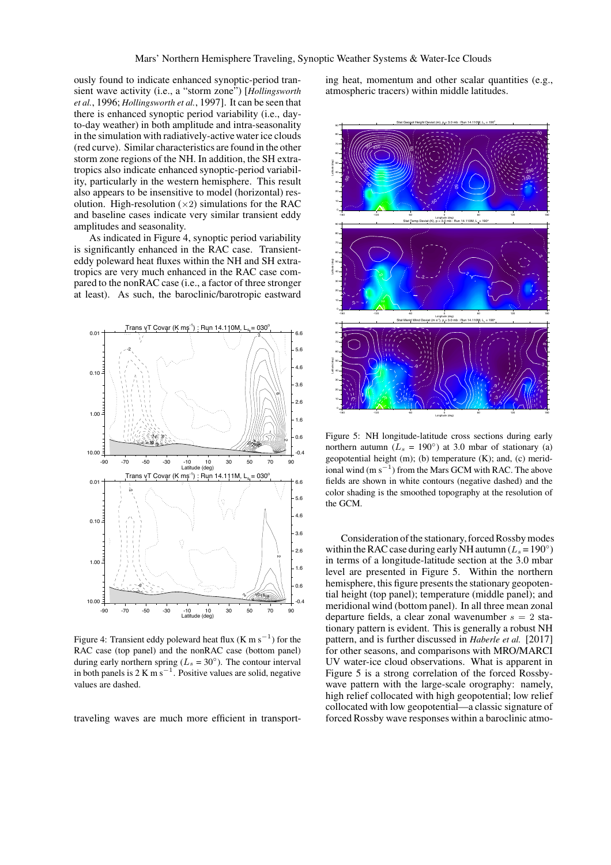ously found to indicate enhanced synoptic-period transient wave activity (i.e., a "storm zone") [*Hollingsworth et al.*, 1996; *Hollingsworth et al.*, 1997]. It can be seen that there is enhanced synoptic period variability (i.e., dayto-day weather) in both amplitude and intra-seasonality in the simulation with radiatively-active water ice clouds (red curve). Similar characteristics are found in the other storm zone regions of the NH. In addition, the SH extratropics also indicate enhanced synoptic-period variability, particularly in the western hemisphere. This result also appears to be insensitive to model (horizontal) resolution. High-resolution  $(\times 2)$  simulations for the RAC and baseline cases indicate very similar transient eddy amplitudes and seasonality.

As indicated in Figure 4, synoptic period variability is significantly enhanced in the RAC case. Transienteddy poleward heat fluxes within the NH and SH extratropics are very much enhanced in the RAC case compared to the nonRAC case (i.e., a factor of three stronger at least). As such, the baroclinic/barotropic eastward



Figure 4: Transient eddy poleward heat flux (K m s<sup>-1</sup>) for the RAC case (top panel) and the nonRAC case (bottom panel) during early northern spring ( $L_s = 30^\circ$ ). The contour interval in both panels is  $2 \text{ K m s}^{-1}$ . Positive values are solid, negative values are dashed.

traveling waves are much more efficient in transport-

ing heat, momentum and other scalar quantities (e.g., atmospheric tracers) within middle latitudes.



Figure 5: NH longitude-latitude cross sections during early northern autumn ( $L_s = 190^\circ$ ) at 3.0 mbar of stationary (a) geopotential height (m); (b) temperature (K); and, (c) meridional wind (m  $s^{-1}$ ) from the Mars GCM with RAC. The above fields are shown in white contours (negative dashed) and the color shading is the smoothed topography at the resolution of the GCM.

Consideration of the stationary, forced Rossby modes within the RAC case during early NH autumn ( $L_s = 190°$ ) in terms of a longitude-latitude section at the 3.0 mbar level are presented in Figure 5. Within the northern hemisphere, this figure presents the stationary geopotential height (top panel); temperature (middle panel); and meridional wind (bottom panel). In all three mean zonal departure fields, a clear zonal wavenumber  $s = 2$  stationary pattern is evident. This is generally a robust NH pattern, and is further discussed in *Haberle et al.* [2017] for other seasons, and comparisons with MRO/MARCI UV water-ice cloud observations. What is apparent in Figure 5 is a strong correlation of the forced Rossbywave pattern with the large-scale orography: namely, high relief collocated with high geopotential; low relief collocated with low geopotential—a classic signature of forced Rossby wave responses within a baroclinic atmo